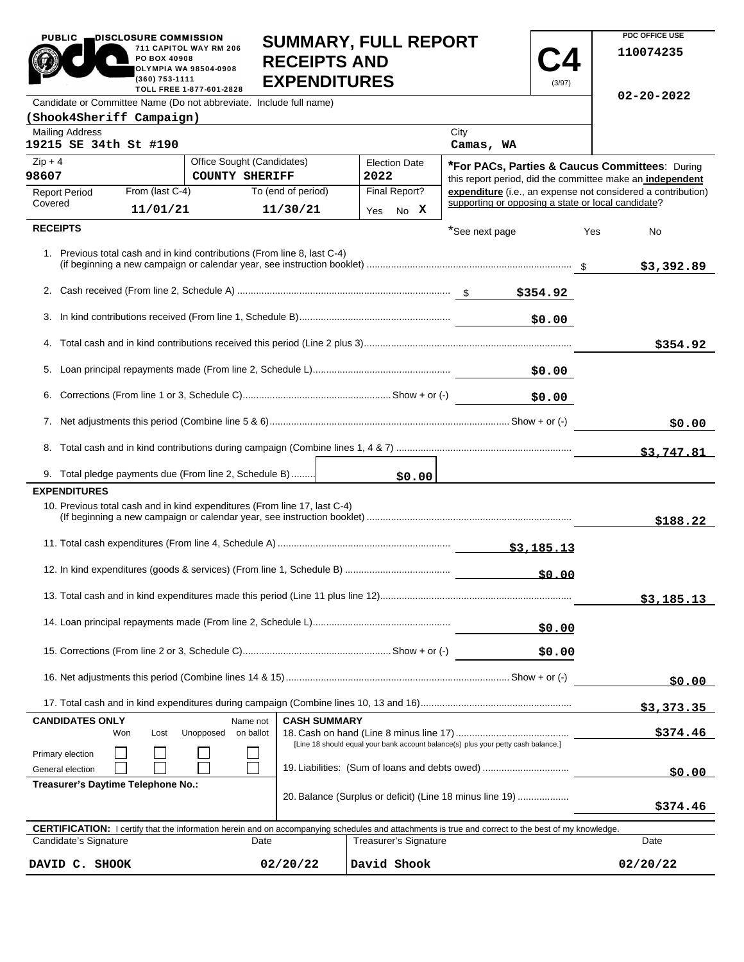|                                                                                                |                                                   | <b>SUIVIIVIAR I, FULL REFURI</b><br>711 CAPITOL WAY RM 206<br>PO BOX 40908<br><b>RECEIPTS AND</b><br><b>OLYMPIA WA 98504-0908</b><br>(360) 753-1111<br><b>EXPENDITURES</b> |                     |                                                                                                                                                                                     |                |                                                                                                                    |                                                           | 110074235                                                 |
|------------------------------------------------------------------------------------------------|---------------------------------------------------|----------------------------------------------------------------------------------------------------------------------------------------------------------------------------|---------------------|-------------------------------------------------------------------------------------------------------------------------------------------------------------------------------------|----------------|--------------------------------------------------------------------------------------------------------------------|-----------------------------------------------------------|-----------------------------------------------------------|
|                                                                                                |                                                   | TOLL FREE 1-877-601-2828<br>Candidate or Committee Name (Do not abbreviate. Include full name)                                                                             |                     |                                                                                                                                                                                     |                | (3/97)                                                                                                             |                                                           | 02-20-2022                                                |
| (Shook4Sheriff Campaign)                                                                       |                                                   |                                                                                                                                                                            |                     |                                                                                                                                                                                     |                |                                                                                                                    |                                                           |                                                           |
| <b>Mailing Address</b>                                                                         |                                                   |                                                                                                                                                                            |                     |                                                                                                                                                                                     | City           |                                                                                                                    |                                                           |                                                           |
| 19215 SE 34th St #190                                                                          |                                                   |                                                                                                                                                                            |                     |                                                                                                                                                                                     | Camas, WA      |                                                                                                                    |                                                           |                                                           |
| $Zip + 4$                                                                                      |                                                   | Office Sought (Candidates)                                                                                                                                                 |                     | <b>Election Date</b>                                                                                                                                                                |                |                                                                                                                    |                                                           | <b>*For PACs, Parties &amp; Caucus Committees: During</b> |
| 98607<br><b>COUNTY SHERIFF</b>                                                                 |                                                   | 2022                                                                                                                                                                       |                     |                                                                                                                                                                                     |                |                                                                                                                    | this report period, did the committee make an independent |                                                           |
| <b>Report Period</b><br>Covered                                                                | From (last C-4)<br>To (end of period)<br>11/01/21 |                                                                                                                                                                            | 11/30/21            | Final Report?<br>Yes No X                                                                                                                                                           |                | expenditure (i.e., an expense not considered a contribution)<br>supporting or opposing a state or local candidate? |                                                           |                                                           |
| <b>RECEIPTS</b>                                                                                |                                                   |                                                                                                                                                                            |                     |                                                                                                                                                                                     | *See next page |                                                                                                                    | Yes                                                       | No                                                        |
|                                                                                                |                                                   | 1. Previous total cash and in kind contributions (From line 8, last C-4)                                                                                                   |                     |                                                                                                                                                                                     |                |                                                                                                                    |                                                           | \$3,392.89                                                |
|                                                                                                |                                                   |                                                                                                                                                                            |                     |                                                                                                                                                                                     |                |                                                                                                                    |                                                           |                                                           |
| 3.                                                                                             |                                                   |                                                                                                                                                                            |                     |                                                                                                                                                                                     |                | \$0.00                                                                                                             |                                                           |                                                           |
|                                                                                                |                                                   |                                                                                                                                                                            |                     |                                                                                                                                                                                     |                |                                                                                                                    |                                                           | \$354.92                                                  |
| 5.                                                                                             |                                                   |                                                                                                                                                                            |                     |                                                                                                                                                                                     |                | \$0.00                                                                                                             |                                                           |                                                           |
| 6.                                                                                             |                                                   |                                                                                                                                                                            |                     |                                                                                                                                                                                     |                | \$0.00                                                                                                             |                                                           |                                                           |
|                                                                                                |                                                   |                                                                                                                                                                            |                     |                                                                                                                                                                                     |                |                                                                                                                    |                                                           | \$0.00                                                    |
| 8.                                                                                             |                                                   |                                                                                                                                                                            |                     |                                                                                                                                                                                     |                |                                                                                                                    |                                                           | \$3,747.81                                                |
|                                                                                                |                                                   | 9. Total pledge payments due (From line 2, Schedule B)                                                                                                                     |                     | \$0.00                                                                                                                                                                              |                |                                                                                                                    |                                                           |                                                           |
| <b>EXPENDITURES</b>                                                                            |                                                   |                                                                                                                                                                            |                     |                                                                                                                                                                                     |                |                                                                                                                    |                                                           |                                                           |
|                                                                                                |                                                   | 10. Previous total cash and in kind expenditures (From line 17, last C-4)                                                                                                  |                     |                                                                                                                                                                                     |                |                                                                                                                    |                                                           | \$188.22                                                  |
|                                                                                                |                                                   |                                                                                                                                                                            |                     |                                                                                                                                                                                     |                |                                                                                                                    |                                                           |                                                           |
|                                                                                                |                                                   |                                                                                                                                                                            |                     |                                                                                                                                                                                     |                | 50.00                                                                                                              |                                                           |                                                           |
|                                                                                                |                                                   |                                                                                                                                                                            |                     |                                                                                                                                                                                     |                |                                                                                                                    |                                                           | \$3,185.13                                                |
|                                                                                                |                                                   |                                                                                                                                                                            |                     |                                                                                                                                                                                     |                | \$0.00                                                                                                             |                                                           |                                                           |
| \$0.00                                                                                         |                                                   |                                                                                                                                                                            |                     |                                                                                                                                                                                     |                |                                                                                                                    |                                                           |                                                           |
|                                                                                                |                                                   |                                                                                                                                                                            |                     |                                                                                                                                                                                     |                |                                                                                                                    |                                                           | \$0.00                                                    |
|                                                                                                |                                                   |                                                                                                                                                                            |                     |                                                                                                                                                                                     |                |                                                                                                                    |                                                           | \$3,373.35                                                |
| <b>CANDIDATES ONLY</b>                                                                         |                                                   | Name not                                                                                                                                                                   | <b>CASH SUMMARY</b> |                                                                                                                                                                                     |                |                                                                                                                    |                                                           |                                                           |
|                                                                                                | Won<br>Lost                                       | Unopposed<br>on ballot                                                                                                                                                     |                     | [Line 18 should equal your bank account balance(s) plus your petty cash balance.]                                                                                                   |                |                                                                                                                    |                                                           | \$374.46                                                  |
| Primary election<br>General election                                                           | 19. Liabilities: (Sum of loans and debts owed)    |                                                                                                                                                                            |                     |                                                                                                                                                                                     |                |                                                                                                                    | \$0.00                                                    |                                                           |
| Treasurer's Daytime Telephone No.:<br>20. Balance (Surplus or deficit) (Line 18 minus line 19) |                                                   |                                                                                                                                                                            |                     |                                                                                                                                                                                     |                | \$374.46                                                                                                           |                                                           |                                                           |
|                                                                                                |                                                   |                                                                                                                                                                            |                     |                                                                                                                                                                                     |                |                                                                                                                    |                                                           |                                                           |
| Candidate's Signature                                                                          |                                                   | Date                                                                                                                                                                       |                     | <b>CERTIFICATION:</b> I certify that the information herein and on accompanying schedules and attachments is true and correct to the best of my knowledge.<br>Treasurer's Signature |                |                                                                                                                    |                                                           | Date                                                      |
|                                                                                                | 02/20/22<br>David Shook<br>DAVID C. SHOOK         |                                                                                                                                                                            |                     |                                                                                                                                                                                     |                |                                                                                                                    |                                                           | 02/20/22                                                  |

**SUMMARY, FULL REPORT** 

**PDC OFFICE USE** 

PUBLIC DISCLOSURE COMMISSION<br>711 CAPITOL WAY RM